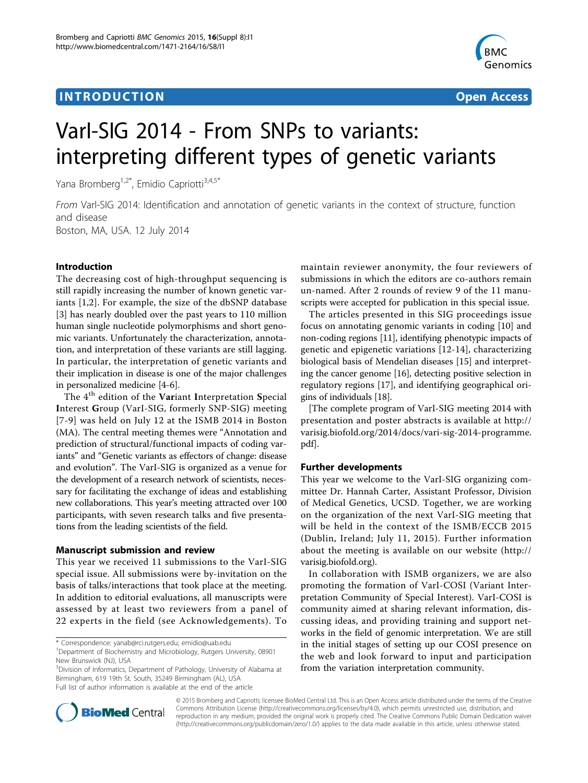## **INTRODUCTION CONSUMING THE CONSUMING TEACHER CONSUMING THE CONSUMING TEACHER CONSUMING THE CONSUMING TEACHER CONSUMING THE CONSUMING TEACHER CONSUMING THE CONSUMING THE CONSUMING THE CONSUMING THE CONSUMING THE CONSUMIN**



# VarI-SIG 2014 - From SNPs to variants: interpreting different types of genetic variants

Yana Bromberg<sup>1,2\*</sup>, Emidio Capriotti<sup>3,4,5\*</sup>

From VarI-SIG 2014: Identification and annotation of genetic variants in the context of structure, function and disease Boston, MA, USA. 12 July 2014

## Introduction

The decreasing cost of high-throughput sequencing is still rapidly increasing the number of known genetic variants [[1,2](#page-1-0)]. For example, the size of the dbSNP database [[3\]](#page-1-0) has nearly doubled over the past years to 110 million human single nucleotide polymorphisms and short genomic variants. Unfortunately the characterization, annotation, and interpretation of these variants are still lagging. In particular, the interpretation of genetic variants and their implication in disease is one of the major challenges in personalized medicine [[4-6\]](#page-1-0).

The  $4<sup>th</sup>$  edition of the Variant Interpretation Special Interest Group (VarI-SIG, formerly SNP-SIG) meeting [[7](#page-1-0)-[9](#page-1-0)] was held on July 12 at the ISMB 2014 in Boston (MA). The central meeting themes were "Annotation and prediction of structural/functional impacts of coding variants" and "Genetic variants as effectors of change: disease and evolution". The VarI-SIG is organized as a venue for the development of a research network of scientists, necessary for facilitating the exchange of ideas and establishing new collaborations. This year's meeting attracted over 100 participants, with seven research talks and five presentations from the leading scientists of the field.

## Manuscript submission and review

This year we received 11 submissions to the VarI-SIG special issue. All submissions were by-invitation on the basis of talks/interactions that took place at the meeting. In addition to editorial evaluations, all manuscripts were assessed by at least two reviewers from a panel of 22 experts in the field (see Acknowledgements). To

<sup>3</sup>Division of Informatics, Department of Pathology, University of Alabama at Birmingham, 619 19th St. South, 35249 Birmingham (AL), USA Full list of author information is available at the end of the article

maintain reviewer anonymity, the four reviewers of submissions in which the editors are co-authors remain un-named. After 2 rounds of review 9 of the 11 manuscripts were accepted for publication in this special issue.

The articles presented in this SIG proceedings issue focus on annotating genomic variants in coding [[10](#page-1-0)] and non-coding regions [\[11\]](#page-1-0), identifying phenotypic impacts of genetic and epigenetic variations [[12-14](#page-1-0)], characterizing biological basis of Mendelian diseases [\[15](#page-1-0)] and interpreting the cancer genome [\[16\]](#page-1-0), detecting positive selection in regulatory regions [[17\]](#page-1-0), and identifying geographical origins of individuals [\[18](#page-1-0)].

[The complete program of VarI-SIG meeting 2014 with presentation and poster abstracts is available at [http://](http://varisig.biofold.org/2014/docs/vari-sig-2014-programme.pdf) [varisig.biofold.org/2014/docs/vari-sig-2014-programme.](http://varisig.biofold.org/2014/docs/vari-sig-2014-programme.pdf) [pdf\]](http://varisig.biofold.org/2014/docs/vari-sig-2014-programme.pdf).

## Further developments

This year we welcome to the VarI-SIG organizing committee Dr. Hannah Carter, Assistant Professor, Division of Medical Genetics, UCSD. Together, we are working on the organization of the next VarI-SIG meeting that will be held in the context of the ISMB/ECCB 2015 (Dublin, Ireland; July 11, 2015). Further information about the meeting is available on our website ([http://](http://varisig.biofold.org) [varisig.biofold.org\)](http://varisig.biofold.org).

In collaboration with ISMB organizers, we are also promoting the formation of VarI-COSI (Variant Interpretation Community of Special Interest). VarI-COSI is community aimed at sharing relevant information, discussing ideas, and providing training and support networks in the field of genomic interpretation. We are still in the initial stages of setting up our COSI presence on the web and look forward to input and participation from the variation interpretation community.



© 2015 Bromberg and Capriotti; licensee BioMed Central Ltd. This is an Open Access article distributed under the terms of the Creative Commons Attribution License [\(http://creativecommons.org/licenses/by/4.0](http://creativecommons.org/licenses/by/4.0)), which permits unrestricted use, distribution, and reproduction in any medium, provided the original work is properly cited. The Creative Commons Public Domain Dedication waiver [\(http://creativecommons.org/publicdomain/zero/1.0/](http://creativecommons.org/publicdomain/zero/1.0/)) applies to the data made available in this article, unless otherwise stated.

<sup>\*</sup> Correspondence: [yanab@rci.rutgers.edu](mailto:yanab@rci.rutgers.edu); [emidio@uab.edu](mailto:emidio@uab.edu)

<sup>1</sup> Department of Biochemistry and Microbiology, Rutgers University, 08901 New Brunswick (NJ), USA